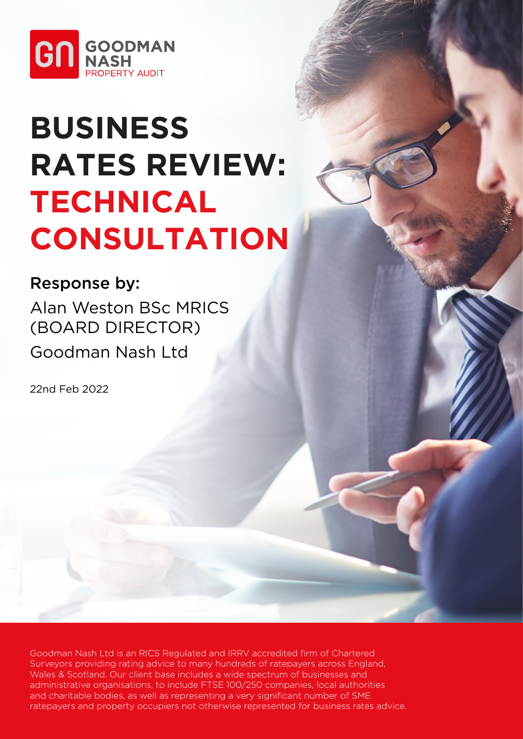

# **BUSINESS RATES REVIEW: TECHNICAL CONSULTATION**

# Response by:

Alan Weston BSc MRICS (BOARD DIRECTOR) Goodman Nash Ltd

22nd Feb 2022

Goodman Nash Ltd is an RICS Regulated and IRRV accredited firm of Chartered Surveyors providing rating advice to many hundreds of ratepayers across England, Wales & Scotland. Our client base includes a wide spectrum of businesses and administrative organisations, to include FTSE 100/250 companies, local authorities and charitable bodies, as well as representing a very significant number of SME ratepayers and property occupiers not otherwise represented for business rates advice.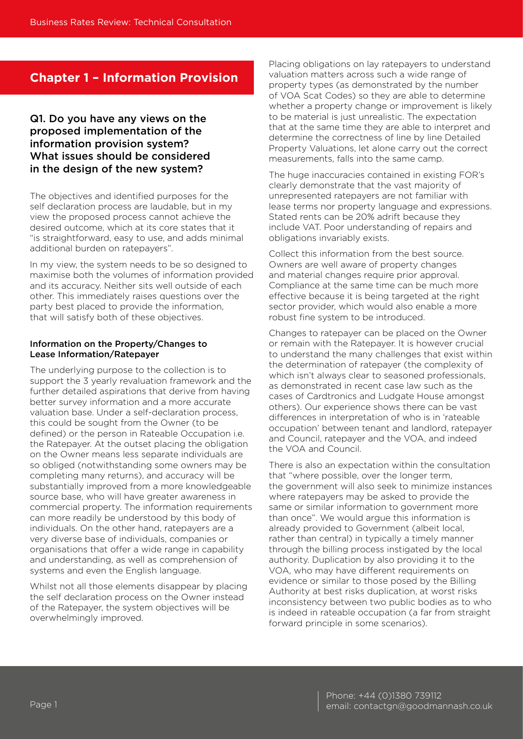### **Chapter 1 – Information Provision**

#### Q1. Do you have any views on the proposed implementation of the information provision system? What issues should be considered in the design of the new system?

The objectives and identified purposes for the self declaration process are laudable, but in my view the proposed process cannot achieve the desired outcome, which at its core states that it "is straightforward, easy to use, and adds minimal additional burden on ratepayers".

In my view, the system needs to be so designed to maximise both the volumes of information provided and its accuracy. Neither sits well outside of each other. This immediately raises questions over the party best placed to provide the information, that will satisfy both of these objectives.

#### Information on the Property/Changes to Lease Information/Ratepayer

The underlying purpose to the collection is to support the 3 yearly revaluation framework and the further detailed aspirations that derive from having better survey information and a more accurate valuation base. Under a self-declaration process, this could be sought from the Owner (to be defined) or the person in Rateable Occupation i.e. the Ratepayer. At the outset placing the obligation on the Owner means less separate individuals are so obliged (notwithstanding some owners may be completing many returns), and accuracy will be substantially improved from a more knowledgeable source base, who will have greater awareness in commercial property. The information requirements can more readily be understood by this body of individuals. On the other hand, ratepayers are a very diverse base of individuals, companies or organisations that offer a wide range in capability and understanding, as well as comprehension of systems and even the English language.

Whilst not all those elements disappear by placing the self declaration process on the Owner instead of the Ratepayer, the system objectives will be overwhelmingly improved.

Placing obligations on lay ratepayers to understand valuation matters across such a wide range of property types (as demonstrated by the number of VOA Scat Codes) so they are able to determine whether a property change or improvement is likely to be material is just unrealistic. The expectation that at the same time they are able to interpret and determine the correctness of line by line Detailed Property Valuations, let alone carry out the correct measurements, falls into the same camp.

The huge inaccuracies contained in existing FOR's clearly demonstrate that the vast majority of unrepresented ratepayers are not familiar with lease terms nor property language and expressions. Stated rents can be 20% adrift because they include VAT. Poor understanding of repairs and obligations invariably exists.

Collect this information from the best source. Owners are well aware of property changes and material changes require prior approval. Compliance at the same time can be much more effective because it is being targeted at the right sector provider, which would also enable a more robust fine system to be introduced.

Changes to ratepayer can be placed on the Owner or remain with the Ratepayer. It is however crucial to understand the many challenges that exist within the determination of ratepayer (the complexity of which isn't always clear to seasoned professionals, as demonstrated in recent case law such as the cases of Cardtronics and Ludgate House amongst others). Our experience shows there can be vast differences in interpretation of who is in 'rateable occupation' between tenant and landlord, ratepayer and Council, ratepayer and the VOA, and indeed the VOA and Council.

There is also an expectation within the consultation that "where possible, over the longer term, the government will also seek to minimize instances where ratepayers may be asked to provide the same or similar information to government more than once". We would argue this information is already provided to Government (albeit local, rather than central) in typically a timely manner through the billing process instigated by the local authority. Duplication by also providing it to the VOA, who may have different requirements on evidence or similar to those posed by the Billing Authority at best risks duplication, at worst risks inconsistency between two public bodies as to who is indeed in rateable occupation (a far from straight forward principle in some scenarios).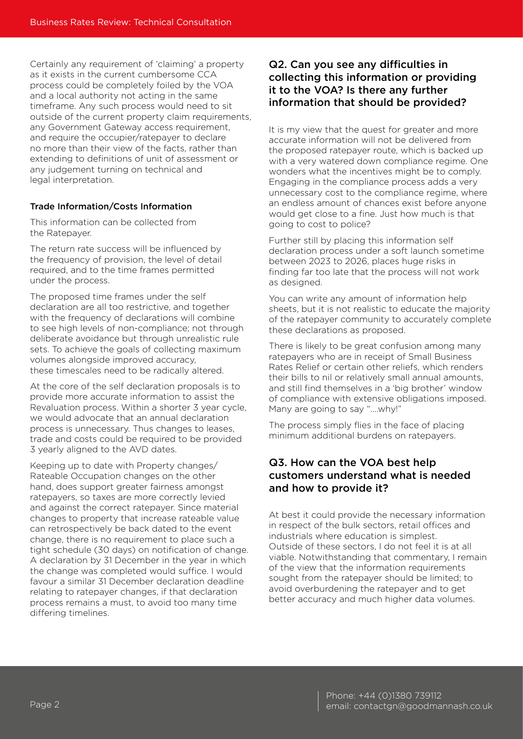Certainly any requirement of 'claiming' a property as it exists in the current cumbersome CCA process could be completely foiled by the VOA and a local authority not acting in the same timeframe. Any such process would need to sit outside of the current property claim requirements, any Government Gateway access requirement, and require the occupier/ratepayer to declare no more than their view of the facts, rather than extending to definitions of unit of assessment or any judgement turning on technical and legal interpretation.

#### Trade Information/Costs Information

This information can be collected from the Ratepayer.

The return rate success will be influenced by the frequency of provision, the level of detail required, and to the time frames permitted under the process.

The proposed time frames under the self declaration are all too restrictive, and together with the frequency of declarations will combine to see high levels of non-compliance; not through deliberate avoidance but through unrealistic rule sets. To achieve the goals of collecting maximum volumes alongside improved accuracy, these timescales need to be radically altered.

At the core of the self declaration proposals is to provide more accurate information to assist the Revaluation process. Within a shorter 3 year cycle, we would advocate that an annual declaration process is unnecessary. Thus changes to leases, trade and costs could be required to be provided 3 yearly aligned to the AVD dates.

Keeping up to date with Property changes/ Rateable Occupation changes on the other hand, does support greater fairness amongst ratepayers, so taxes are more correctly levied and against the correct ratepayer. Since material changes to property that increase rateable value can retrospectively be back dated to the event change, there is no requirement to place such a tight schedule (30 days) on notification of change. A declaration by 31 December in the year in which the change was completed would suffice. I would favour a similar 31 December declaration deadline relating to ratepayer changes, if that declaration process remains a must, to avoid too many time differing timelines.

#### Q2. Can you see any difficulties in collecting this information or providing it to the VOA? Is there any further information that should be provided?

It is my view that the quest for greater and more accurate information will not be delivered from the proposed ratepayer route, which is backed up with a very watered down compliance regime. One wonders what the incentives might be to comply. Engaging in the compliance process adds a very unnecessary cost to the compliance regime, where an endless amount of chances exist before anyone would get close to a fine. Just how much is that going to cost to police?

Further still by placing this information self declaration process under a soft launch sometime between 2023 to 2026, places huge risks in finding far too late that the process will not work as designed.

You can write any amount of information help sheets, but it is not realistic to educate the majority of the ratepayer community to accurately complete these declarations as proposed.

There is likely to be great confusion among many ratepayers who are in receipt of Small Business Rates Relief or certain other reliefs, which renders their bills to nil or relatively small annual amounts, and still find themselves in a 'big brother' window of compliance with extensive obligations imposed. Many are going to say "....why!"

The process simply flies in the face of placing minimum additional burdens on ratepayers.

#### Q3. How can the VOA best help customers understand what is needed and how to provide it?

At best it could provide the necessary information in respect of the bulk sectors, retail offices and industrials where education is simplest. Outside of these sectors, I do not feel it is at all viable. Notwithstanding that commentary, I remain of the view that the information requirements sought from the ratepayer should be limited; to avoid overburdening the ratepayer and to get better accuracy and much higher data volumes.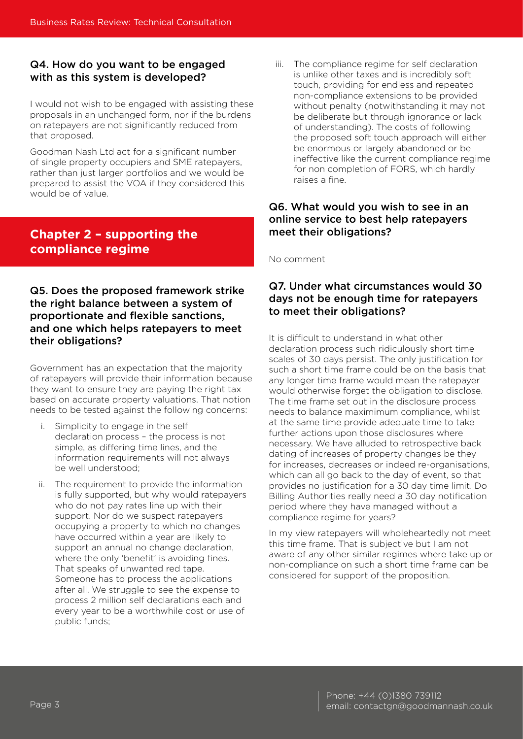#### Q4. How do you want to be engaged with as this system is developed?

I would not wish to be engaged with assisting these proposals in an unchanged form, nor if the burdens on ratepayers are not significantly reduced from that proposed.

Goodman Nash Ltd act for a significant number of single property occupiers and SME ratepayers, rather than just larger portfolios and we would be prepared to assist the VOA if they considered this would be of value.

# **Chapter 2 – supporting the compliance regime**

#### Q5. Does the proposed framework strike the right balance between a system of proportionate and flexible sanctions, and one which helps ratepayers to meet their obligations?

Government has an expectation that the majority of ratepayers will provide their information because they want to ensure they are paying the right tax based on accurate property valuations. That notion needs to be tested against the following concerns:

- Simplicity to engage in the self declaration process – the process is not simple, as differing time lines, and the information requirements will not always be well understood;
- ii. The requirement to provide the information is fully supported, but why would ratepayers who do not pay rates line up with their support. Nor do we suspect ratepayers occupying a property to which no changes have occurred within a year are likely to support an annual no change declaration, where the only 'benefit' is avoiding fines. That speaks of unwanted red tape. Someone has to process the applications after all. We struggle to see the expense to process 2 million self declarations each and every year to be a worthwhile cost or use of public funds;

iii. The compliance regime for self declaration is unlike other taxes and is incredibly soft touch, providing for endless and repeated non-compliance extensions to be provided without penalty (notwithstanding it may not be deliberate but through ignorance or lack of understanding). The costs of following the proposed soft touch approach will either be enormous or largely abandoned or be ineffective like the current compliance regime for non completion of FORS, which hardly raises a fine.

#### Q6. What would you wish to see in an online service to best help ratepayers meet their obligations?

No comment

#### Q7. Under what circumstances would 30 days not be enough time for ratepayers to meet their obligations?

It is difficult to understand in what other declaration process such ridiculously short time scales of 30 days persist. The only justification for such a short time frame could be on the basis that any longer time frame would mean the ratepayer would otherwise forget the obligation to disclose. The time frame set out in the disclosure process needs to balance maximimum compliance, whilst at the same time provide adequate time to take further actions upon those disclosures where necessary. We have alluded to retrospective back dating of increases of property changes be they for increases, decreases or indeed re-organisations, which can all go back to the day of event, so that provides no justification for a 30 day time limit. Do Billing Authorities really need a 30 day notification period where they have managed without a compliance regime for years?

In my view ratepayers will wholeheartedly not meet this time frame. That is subjective but I am not aware of any other similar regimes where take up or non-compliance on such a short time frame can be considered for support of the proposition.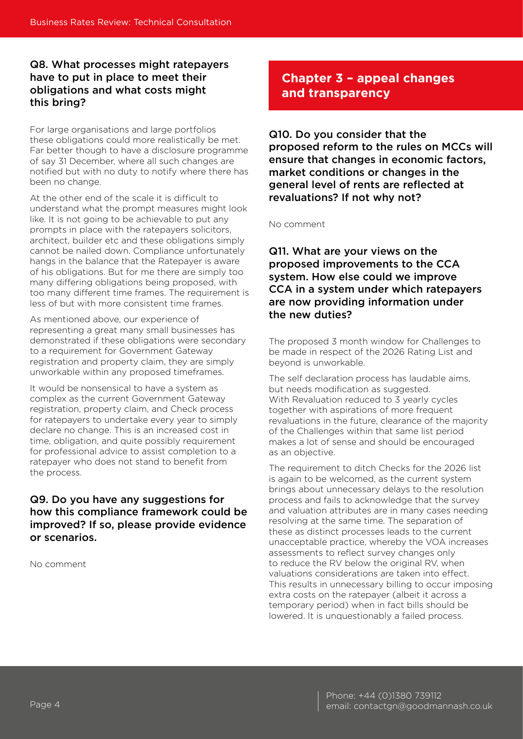#### Q8. What processes might ratepayers have to put in place to meet their obligations and what costs might this bring?

For large organisations and large portfolios these obligations could more realistically be met. Far better though to have a disclosure programme of say 31 December, where all such changes are notified but with no duty to notify where there has been no change.

At the other end of the scale it is difficult to understand what the prompt measures might look like. It is not going to be achievable to put any prompts in place with the ratepayers solicitors, architect, builder etc and these obligations simply cannot be nailed down. Compliance unfortunately hangs in the balance that the Ratepayer is aware of his obligations. But for me there are simply too many differing obligations being proposed, with too many different time frames. The requirement is less of but with more consistent time frames.

As mentioned above, our experience of representing a great many small businesses has demonstrated if these obligations were secondary to a requirement for Government Gateway registration and property claim, they are simply unworkable within any proposed timeframes.

It would be nonsensical to have a system as complex as the current Government Gateway registration, property claim, and Check process for ratepayers to undertake every year to simply declare no change. This is an increased cost in time, obligation, and quite possibly requirement for professional advice to assist completion to a ratepayer who does not stand to benefit from the process.

#### Q9. Do you have any suggestions for how this compliance framework could be improved? If so, please provide evidence or scenarios.

No comment

# **Chapter 3 – appeal changes and transparency**

Q10. Do you consider that the proposed reform to the rules on MCCs will ensure that changes in economic factors, market conditions or changes in the general level of rents are reflected at revaluations? If not why not?

No comment

Q11. What are your views on the proposed improvements to the CCA system. How else could we improve CCA in a system under which ratepayers are now providing information under the new duties?

The proposed 3 month window for Challenges to be made in respect of the 2026 Rating List and beyond is unworkable.

The self declaration process has laudable aims, but needs modification as suggested. With Revaluation reduced to 3 yearly cycles together with aspirations of more frequent revaluations in the future, clearance of the majority of the Challenges within that same list period makes a lot of sense and should be encouraged as an objective.

The requirement to ditch Checks for the 2026 list is again to be welcomed, as the current system brings about unnecessary delays to the resolution process and fails to acknowledge that the survey and valuation attributes are in many cases needing resolving at the same time. The separation of these as distinct processes leads to the current unacceptable practice, whereby the VOA increases assessments to reflect survey changes only to reduce the RV below the original RV, when valuations considerations are taken into effect. This results in unnecessary billing to occur imposing extra costs on the ratepayer (albeit it across a temporary period) when in fact bills should be lowered. It is unquestionably a failed process.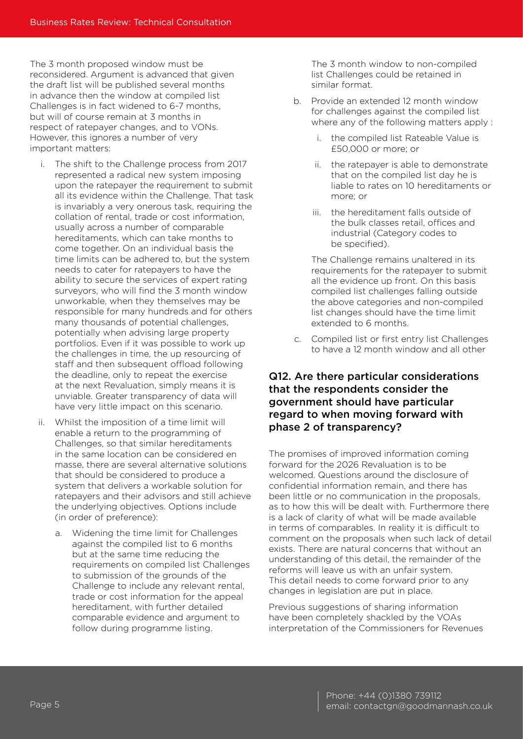The 3 month proposed window must be reconsidered. Argument is advanced that given the draft list will be published several months in advance then the window at compiled list Challenges is in fact widened to 6-7 months, but will of course remain at 3 months in respect of ratepayer changes, and to VONs. However, this ignores a number of very important matters:

- i. The shift to the Challenge process from 2017 represented a radical new system imposing upon the ratepayer the requirement to submit all its evidence within the Challenge. That task is invariably a very onerous task, requiring the collation of rental, trade or cost information, usually across a number of comparable hereditaments, which can take months to come together. On an individual basis the time limits can be adhered to, but the system needs to cater for ratepayers to have the ability to secure the services of expert rating surveyors, who will find the 3 month window unworkable, when they themselves may be responsible for many hundreds and for others many thousands of potential challenges, potentially when advising large property portfolios. Even if it was possible to work up the challenges in time, the up resourcing of staff and then subsequent offload following the deadline, only to repeat the exercise at the next Revaluation, simply means it is unviable. Greater transparency of data will have very little impact on this scenario.
- ii. Whilst the imposition of a time limit will enable a return to the programming of Challenges, so that similar hereditaments in the same location can be considered en masse, there are several alternative solutions that should be considered to produce a system that delivers a workable solution for ratepayers and their advisors and still achieve the underlying objectives. Options include (in order of preference):
	- a. Widening the time limit for Challenges against the compiled list to 6 months but at the same time reducing the requirements on compiled list Challenges to submission of the grounds of the Challenge to include any relevant rental, trade or cost information for the appeal hereditament, with further detailed comparable evidence and argument to follow during programme listing.

The 3 month window to non-compiled list Challenges could be retained in similar format.

- b. Provide an extended 12 month window for challenges against the compiled list where any of the following matters apply :
	- i. the compiled list Rateable Value is £50,000 or more; or
	- ii. the ratepayer is able to demonstrate that on the compiled list day he is liable to rates on 10 hereditaments or more; or
	- iii. the hereditament falls outside of the bulk classes retail, offices and industrial (Category codes to be specified).

The Challenge remains unaltered in its requirements for the ratepayer to submit all the evidence up front. On this basis compiled list challenges falling outside the above categories and non-compiled list changes should have the time limit extended to 6 months.

c. Compiled list or first entry list Challenges to have a 12 month window and all other

#### Q12. Are there particular considerations that the respondents consider the government should have particular regard to when moving forward with phase 2 of transparency?

The promises of improved information coming forward for the 2026 Revaluation is to be welcomed. Questions around the disclosure of confidential information remain, and there has been little or no communication in the proposals, as to how this will be dealt with. Furthermore there is a lack of clarity of what will be made available in terms of comparables. In reality it is difficult to comment on the proposals when such lack of detail exists. There are natural concerns that without an understanding of this detail, the remainder of the reforms will leave us with an unfair system. This detail needs to come forward prior to any changes in legislation are put in place.

Previous suggestions of sharing information have been completely shackled by the VOAs interpretation of the Commissioners for Revenues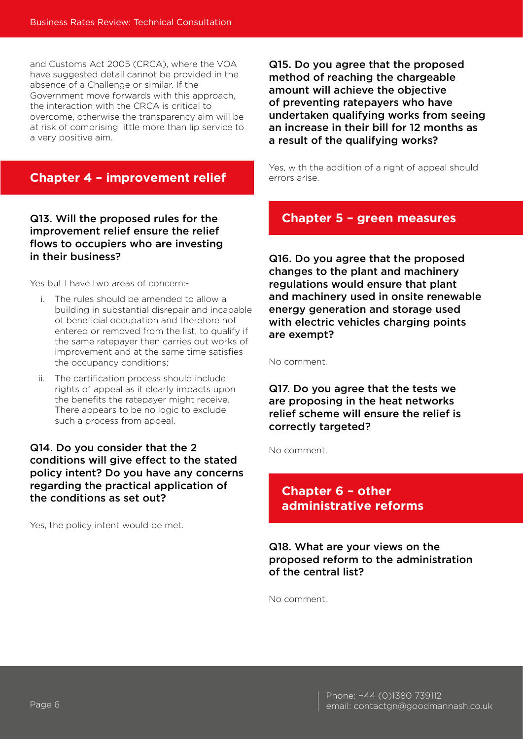and Customs Act 2005 (CRCA), where the VOA have suggested detail cannot be provided in the absence of a Challenge or similar. If the Government move forwards with this approach, the interaction with the CRCA is critical to overcome, otherwise the transparency aim will be at risk of comprising little more than lip service to a very positive aim.

## **Chapter 4 – improvement relief**

#### Q13. Will the proposed rules for the improvement relief ensure the relief flows to occupiers who are investing in their business?

Yes but I have two areas of concern:-

- i. The rules should be amended to allow a building in substantial disrepair and incapable of beneficial occupation and therefore not entered or removed from the list, to qualify if the same ratepayer then carries out works of improvement and at the same time satisfies the occupancy conditions;
- ii. The certification process should include rights of appeal as it clearly impacts upon the benefits the ratepayer might receive. There appears to be no logic to exclude such a process from appeal.

#### Q14. Do you consider that the 2 conditions will give effect to the stated policy intent? Do you have any concerns regarding the practical application of the conditions as set out?

Yes, the policy intent would be met.

Q15. Do you agree that the proposed method of reaching the chargeable amount will achieve the objective of preventing ratepayers who have undertaken qualifying works from seeing an increase in their bill for 12 months as a result of the qualifying works?

Yes, with the addition of a right of appeal should errors arise.

# **Chapter 5 – green measures**

Q16. Do you agree that the proposed changes to the plant and machinery regulations would ensure that plant and machinery used in onsite renewable energy generation and storage used with electric vehicles charging points are exempt?

No comment.

Q17. Do you agree that the tests we are proposing in the heat networks relief scheme will ensure the relief is correctly targeted?

No comment.

# **Chapter 6 – other administrative reforms**

Q18. What are your views on the proposed reform to the administration of the central list?

No comment.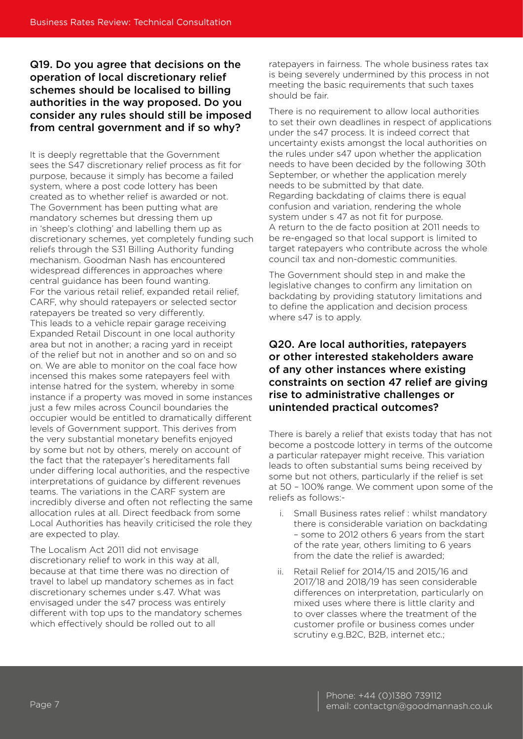#### Q19. Do you agree that decisions on the operation of local discretionary relief schemes should be localised to billing authorities in the way proposed. Do you consider any rules should still be imposed from central government and if so why?

It is deeply regrettable that the Government sees the S47 discretionary relief process as fit for purpose, because it simply has become a failed system, where a post code lottery has been created as to whether relief is awarded or not. The Government has been putting what are mandatory schemes but dressing them up in 'sheep's clothing' and labelling them up as discretionary schemes, yet completely funding such reliefs through the S31 Billing Authority funding mechanism. Goodman Nash has encountered widespread differences in approaches where central guidance has been found wanting. For the various retail relief, expanded retail relief, CARF, why should ratepayers or selected sector ratepayers be treated so very differently. This leads to a vehicle repair garage receiving Expanded Retail Discount in one local authority area but not in another; a racing yard in receipt of the relief but not in another and so on and so on. We are able to monitor on the coal face how incensed this makes some ratepayers feel with intense hatred for the system, whereby in some instance if a property was moved in some instances just a few miles across Council boundaries the occupier would be entitled to dramatically different levels of Government support. This derives from the very substantial monetary benefits enjoyed by some but not by others, merely on account of the fact that the ratepayer's hereditaments fall under differing local authorities, and the respective interpretations of guidance by different revenues teams. The variations in the CARF system are incredibly diverse and often not reflecting the same allocation rules at all. Direct feedback from some Local Authorities has heavily criticised the role they are expected to play.

The Localism Act 2011 did not envisage discretionary relief to work in this way at all, because at that time there was no direction of travel to label up mandatory schemes as in fact discretionary schemes under s.47. What was envisaged under the s47 process was entirely different with top ups to the mandatory schemes which effectively should be rolled out to all

ratepayers in fairness. The whole business rates tax is being severely undermined by this process in not meeting the basic requirements that such taxes should be fair.

There is no requirement to allow local authorities to set their own deadlines in respect of applications under the s47 process. It is indeed correct that uncertainty exists amongst the local authorities on the rules under s47 upon whether the application needs to have been decided by the following 30th September, or whether the application merely needs to be submitted by that date. Regarding backdating of claims there is equal confusion and variation, rendering the whole system under s 47 as not fit for purpose. A return to the de facto position at 2011 needs to be re-engaged so that local support is limited to target ratepayers who contribute across the whole council tax and non-domestic communities.

The Government should step in and make the legislative changes to confirm any limitation on backdating by providing statutory limitations and to define the application and decision process where s47 is to apply.

#### Q20. Are local authorities, ratepayers or other interested stakeholders aware of any other instances where existing constraints on section 47 relief are giving rise to administrative challenges or unintended practical outcomes?

There is barely a relief that exists today that has not become a postcode lottery in terms of the outcome a particular ratepayer might receive. This variation leads to often substantial sums being received by some but not others, particularly if the relief is set at 50 – 100% range. We comment upon some of the reliefs as follows:-

- i. Small Business rates relief : whilst mandatory there is considerable variation on backdating – some to 2012 others 6 years from the start of the rate year, others limiting to 6 years from the date the relief is awarded;
- ii. Retail Relief for 2014/15 and 2015/16 and 2017/18 and 2018/19 has seen considerable differences on interpretation, particularly on mixed uses where there is little clarity and to over classes where the treatment of the customer profile or business comes under scrutiny e.g.B2C, B2B, internet etc.;